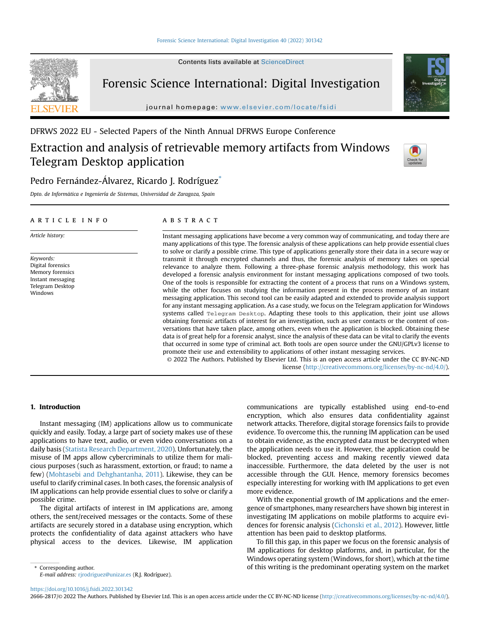

Contents lists available at [ScienceDirect](www.sciencedirect.com/science/journal/26662817)

# Forensic Science International: Digital Investigation

journal homepage: <www.elsevier.com/locate/fsidi>



# DFRWS 2022 EU - Selected Papers of the Ninth Annual DFRWS Europe Conference

# Extraction and analysis of retrievable memory artifacts from Windows Telegram Desktop application



# Pedro Fernández-Álvarez, Ricardo J. Rodríguez<sup>[\\*](#page-0-0)</sup>

Dpto. de Informatica e Ingeniería de Sistemas, Universidad de Zaragoza, Spain

# article info

Article history:

Keywords: Digital forensics Memory forensics Instant messaging Telegram Desktop Windows

# **ABSTRACT**

Instant messaging applications have become a very common way of communicating, and today there are many applications of this type. The forensic analysis of these applications can help provide essential clues to solve or clarify a possible crime. This type of applications generally store their data in a secure way or transmit it through encrypted channels and thus, the forensic analysis of memory takes on special relevance to analyze them. Following a three-phase forensic analysis methodology, this work has developed a forensic analysis environment for instant messaging applications composed of two tools. One of the tools is responsible for extracting the content of a process that runs on a Windows system, while the other focuses on studying the information present in the process memory of an instant messaging application. This second tool can be easily adapted and extended to provide analysis support for any instant messaging application. As a case study, we focus on the Telegram application for Windows systems called Telegram Desktop. Adapting these tools to this application, their joint use allows obtaining forensic artifacts of interest for an investigation, such as user contacts or the content of conversations that have taken place, among others, even when the application is blocked. Obtaining these data is of great help for a forensic analyst, since the analysis of these data can be vital to clarify the events that occurred in some type of criminal act. Both tools are open source under the GNU/GPLv3 license to promote their use and extensibility to applications of other instant messaging services.

© 2022 The Authors. Published by Elsevier Ltd. This is an open access article under the CC BY-NC-ND license [\(http://creativecommons.org/licenses/by-nc-nd/4.0/](http://creativecommons.org/licenses/by-nc-nd/4.0/)).

# 1. Introduction

Instant messaging (IM) applications allow us to communicate quickly and easily. Today, a large part of society makes use of these applications to have text, audio, or even video conversations on a daily basis [\(Statista Research Department, 2020\)](#page-8-0). Unfortunately, the misuse of IM apps allow cybercriminals to utilize them for malicious purposes (such as harassment, extortion, or fraud; to name a few) ([Mohtasebi and Dehghantanha, 2011](#page-8-1)). Likewise, they can be useful to clarify criminal cases. In both cases, the forensic analysis of IM applications can help provide essential clues to solve or clarify a possible crime.

The digital artifacts of interest in IM applications are, among others, the sent/received messages or the contacts. Some of these artifacts are securely stored in a database using encryption, which protects the confidentiality of data against attackers who have physical access to the devices. Likewise, IM application

communications are typically established using end-to-end encryption, which also ensures data confidentiality against network attacks. Therefore, digital storage forensics fails to provide evidence. To overcome this, the running IM application can be used to obtain evidence, as the encrypted data must be decrypted when the application needs to use it. However, the application could be blocked, preventing access and making recently viewed data inaccessible. Furthermore, the data deleted by the user is not accessible through the GUI. Hence, memory forensics becomes especially interesting for working with IM applications to get even more evidence.

With the exponential growth of IM applications and the emergence of smartphones, many researchers have shown big interest in investigating IM applications on mobile platforms to acquire evidences for forensic analysis [\(Cichonski et al., 2012\)](#page-8-2). However, little attention has been paid to desktop platforms.

To fill this gap, in this paper we focus on the forensic analysis of IM applications for desktop platforms, and, in particular, for the Windows operating system (Windows, for short), which at the time \* Corresponding author. of this writing is the predominant operating system on the market

<span id="page-0-0"></span>E-mail address: [rjrodriguez@unizar.es](mailto:rjrodriguez@unizar.es) (R.J. Rodríguez).

<https://doi.org/10.1016/j.fsidi.2022.301342>

2666-2817/© 2022 The Authors. Published by Elsevier Ltd. This is an open access article under the CC BY-NC-ND license ([http://creativecommons.org/licenses/by-nc-nd/4.0/\)](http://creativecommons.org/licenses/by-nc-nd/4.0/).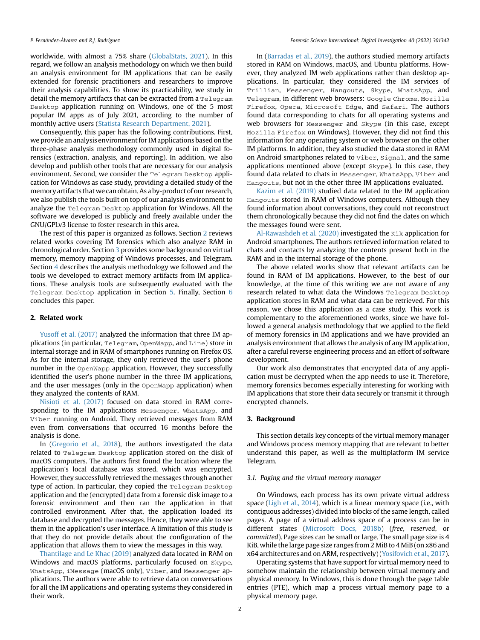worldwide, with almost a 75% share [\(GlobalStats, 2021\)](#page-8-3). In this regard, we follow an analysis methodology on which we then build an analysis environment for IM applications that can be easily extended for forensic practitioners and researchers to improve their analysis capabilities. To show its practicability, we study in detail the memory artifacts that can be extracted from a Telegram Desktop application running on Windows, one of the 5 most popular IM apps as of July 2021, according to the number of monthly active users ([Statista Research Department, 2021\)](#page-8-4).

Consequently, this paper has the following contributions. First, we provide an analysis environment for IM applications based on the three-phase analysis methodology commonly used in digital forensics (extraction, analysis, and reporting). In addition, we also develop and publish other tools that are necessary for our analysis environment. Second, we consider the Telegram Desktop application for Windows as case study, providing a detailed study of the memory artifacts that we can obtain. As a by-product of our research, we also publish the tools built on top of our analysis environment to analyze the Telegram Desktop application for Windows. All the software we developed is publicly and freely available under the GNU/GPLv3 license to foster research in this area.

The rest of this paper is organized as follows. Section [2](#page-1-0) reviews related works covering IM forensics which also analyze RAM in chronological order. Section [3](#page-1-1) provides some background on virtual memory, memory mapping of Windows processes, and Telegram. Section [4](#page-2-0) describes the analysis methodology we followed and the tools we developed to extract memory artifacts from IM applications. These analysis tools are subsequently evaluated with the Telegram Desktop application in Section [5](#page-4-0). Finally, Section [6](#page-8-5) concludes this paper.

#### <span id="page-1-0"></span>2. Related work

[Yusoff et al. \(2017\)](#page-9-0) analyzed the information that three IM applications (in particular, Telegram, OpenWapp, and Line) store in internal storage and in RAM of smartphones running on Firefox OS. As for the internal storage, they only retrieved the user's phone number in the OpenWapp application. However, they successfully identified the user's phone number in the three IM applications, and the user messages (only in the OpenWapp application) when they analyzed the contents of RAM.

[Nisioti et al. \(2017\)](#page-8-6) focused on data stored in RAM corresponding to the IM applications Messenger, WhatsApp, and Viber running on Android. They retrieved messages from RAM even from conversations that occurred 16 months before the analysis is done.

In [\(Gregorio et al., 2018](#page-8-7)), the authors investigated the data related to Telegram Desktop application stored on the disk of macOS computers. The authors first found the location where the application's local database was stored, which was encrypted. However, they successfully retrieved the messages through another type of action. In particular, they copied the Telegram Desktop application and the (encrypted) data from a forensic disk image to a forensic environment and then ran the application in that controlled environment. After that, the application loaded its database and decrypted the messages. Hence, they were able to see them in the application's user interface. A limitation of this study is that they do not provide details about the configuration of the application that allows them to view the messages in this way.

[Thantilage and Le Khac \(2019\)](#page-9-1) analyzed data located in RAM on Windows and macOS platforms, particularly focused on Skype, WhatsApp, iMessage (macOS only), Viber, and Messenger applications. The authors were able to retrieve data on conversations for all the IM applications and operating systems they considered in their work.

In ([Barradas et al., 2019](#page-8-8)), the authors studied memory artifacts stored in RAM on Windows, macOS, and Ubuntu platforms. However, they analyzed IM web applications rather than desktop applications. In particular, they considered the IM services of Trillian, Messenger, Hangouts, Skype, WhatsApp, and Telegram, in different web browsers: Google Chrome, Mozilla Firefox, Opera, Microsoft Edge, and Safari. The authors found data corresponding to chats for all operating systems and web browsers for Messenger and Skype (in this case, except Mozilla Firefox on Windows). However, they did not find this information for any operating system or web browser on the other IM platforms. In addition, they also studied the data stored in RAM on Android smartphones related to Viber, Signal, and the same applications mentioned above (except Skype). In this case, they found data related to chats in Messenger, WhatsApp, Viber and Hangouts, but not in the other three IM applications evaluated.

[Kazim et al. \(2019\)](#page-8-9) studied data related to the IM application Hangouts stored in RAM of Windows computers. Although they found information about conversations, they could not reconstruct them chronologically because they did not find the dates on which the messages found were sent.

[Al-Rawashdeh et al. \(2020\)](#page-8-10) investigated the  $Kik$  application for Android smartphones. The authors retrieved information related to chats and contacts by analyzing the contents present both in the RAM and in the internal storage of the phone.

The above related works show that relevant artifacts can be found in RAM of IM applications. However, to the best of our knowledge, at the time of this writing we are not aware of any research related to what data the Windows Telegram Desktop application stores in RAM and what data can be retrieved. For this reason, we chose this application as a case study. This work is complementary to the aforementioned works, since we have followed a general analysis methodology that we applied to the field of memory forensics in IM applications and we have provided an analysis environment that allows the analysis of any IM application, after a careful reverse engineering process and an effort of software development.

Our work also demonstrates that encrypted data of any application must be decrypted when the app needs to use it. Therefore, memory forensics becomes especially interesting for working with IM applications that store their data securely or transmit it through encrypted channels.

#### <span id="page-1-1"></span>3. Background

This section details key concepts of the virtual memory manager and Windows process memory mapping that are relevant to better understand this paper, as well as the multiplatform IM service Telegram.

#### 3.1. Paging and the virtual memory manager

On Windows, each process has its own private virtual address space [\(Ligh et al., 2014](#page-8-11)), which is a linear memory space (i.e., with contiguous addresses) divided into blocks of the same length, called pages. A page of a virtual address space of a process can be in different states [\(Microsoft Docs, 2018b](#page-8-12)) (free, reserved, or committed). Page sizes can be small or large. The small page size is 4 KiB, while the large page size ranges from 2 MiB to 4 MiB (on x86 and x64 architectures and on ARM, respectively) [\(Yosifovich et al., 2017\)](#page-9-2).

Operating systems that have support for virtual memory need to somehow maintain the relationship between virtual memory and physical memory. In Windows, this is done through the page table entries (PTE), which map a process virtual memory page to a physical memory page.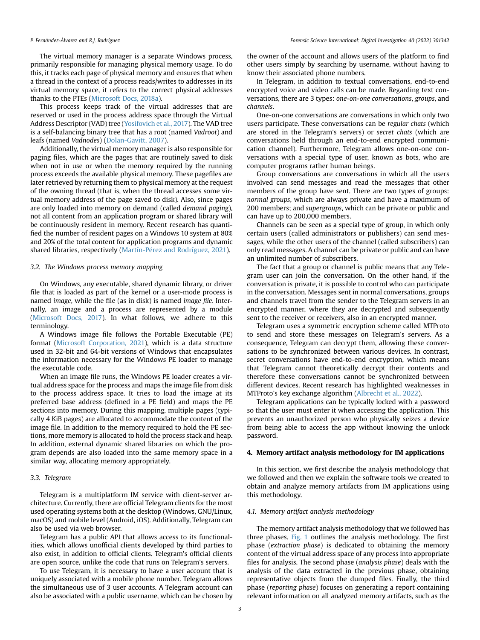The virtual memory manager is a separate Windows process, primarily responsible for managing physical memory usage. To do this, it tracks each page of physical memory and ensures that when a thread in the context of a process reads/writes to addresses in its virtual memory space, it refers to the correct physical addresses thanks to the PTEs [\(Microsoft Docs, 2018a\)](#page-8-13).

This process keeps track of the virtual addresses that are reserved or used in the process address space through the Virtual Address Descriptor (VAD) tree [\(Yosifovich et al., 2017](#page-9-2)). The VAD tree is a self-balancing binary tree that has a root (named Vadroot) and leafs (named Vadnodes) [\(Dolan-Gavitt, 2007\)](#page-8-14).

Additionally, the virtual memory manager is also responsible for paging files, which are the pages that are routinely saved to disk when not in use or when the memory required by the running process exceeds the available physical memory. These pagefiles are later retrieved by returning them to physical memory at the request of the owning thread (that is, when the thread accesses some virtual memory address of the page saved to disk). Also, since pages are only loaded into memory on demand (called demand paging), not all content from an application program or shared library will be continuously resident in memory. Recent research has quantified the number of resident pages on a Windows 10 system at 80% and 20% of the total content for application programs and dynamic shared libraries, respectively (Martín-Pérez and Rodríguez, 2021).

#### 3.2. The Windows process memory mapping

On Windows, any executable, shared dynamic library, or driver file that is loaded as part of the kernel or a user-mode process is named image, while the file (as in disk) is named image file. Internally, an image and a process are represented by a module ([Microsoft Docs, 2017\)](#page-8-16). In what follows, we adhere to this terminology.

A Windows image file follows the Portable Executable (PE) format [\(Microsoft Corporation, 2021\)](#page-8-17), which is a data structure used in 32-bit and 64-bit versions of Windows that encapsulates the information necessary for the Windows PE loader to manage the executable code.

When an image file runs, the Windows PE loader creates a virtual address space for the process and maps the image file from disk to the process address space. It tries to load the image at its preferred base address (defined in a PE field) and maps the PE sections into memory. During this mapping, multiple pages (typically 4 KiB pages) are allocated to accommodate the content of the image file. In addition to the memory required to hold the PE sections, more memory is allocated to hold the process stack and heap. In addition, external dynamic shared libraries on which the program depends are also loaded into the same memory space in a similar way, allocating memory appropriately.

#### <span id="page-2-1"></span>3.3. Telegram

Telegram is a multiplatform IM service with client-server architecture. Currently, there are official Telegram clients for the most used operating systems both at the desktop (Windows, GNU/Linux, macOS) and mobile level (Android, iOS). Additionally, Telegram can also be used via web browser.

Telegram has a public API that allows access to its functionalities, which allows unofficial clients developed by third parties to also exist, in addition to official clients. Telegram's official clients are open source, unlike the code that runs on Telegram's servers.

To use Telegram, it is necessary to have a user account that is uniquely associated with a mobile phone number. Telegram allows the simultaneous use of 3 user accounts. A Telegram account can also be associated with a public username, which can be chosen by the owner of the account and allows users of the platform to find other users simply by searching by username, without having to know their associated phone numbers.

In Telegram, in addition to textual conversations, end-to-end encrypted voice and video calls can be made. Regarding text conversations, there are 3 types: one-on-one conversations, groups, and channels.

One-on-one conversations are conversations in which only two users participate. These conversations can be regular chats (which are stored in the Telegram's servers) or secret chats (which are conversations held through an end-to-end encrypted communication channel). Furthermore, Telegram allows one-on-one conversations with a special type of user, known as bots, who are computer programs rather human beings.

Group conversations are conversations in which all the users involved can send messages and read the messages that other members of the group have sent. There are two types of groups: normal groups, which are always private and have a maximum of 200 members; and supergroups, which can be private or public and can have up to 200,000 members.

Channels can be seen as a special type of group, in which only certain users (called administrators or publishers) can send messages, while the other users of the channel (called subscribers) can only read messages. A channel can be private or public and can have an unlimited number of subscribers.

The fact that a group or channel is public means that any Telegram user can join the conversation. On the other hand, if the conversation is private, it is possible to control who can participate in the conversation. Messages sent in normal conversations, groups and channels travel from the sender to the Telegram servers in an encrypted manner, where they are decrypted and subsequently sent to the receiver or receivers, also in an encrypted manner.

Telegram uses a symmetric encryption scheme called MTProto to send and store these messages on Telegram's servers. As a consequence, Telegram can decrypt them, allowing these conversations to be synchronized between various devices. In contrast, secret conversations have end-to-end encryption, which means that Telegram cannot theoretically decrypt their contents and therefore these conversations cannot be synchronized between different devices. Recent research has highlighted weaknesses in MTProto's key exchange algorithm ([Albrecht et al., 2022](#page-8-18)).

Telegram applications can be typically locked with a password so that the user must enter it when accessing the application. This prevents an unauthorized person who physically seizes a device from being able to access the app without knowing the unlock password.

# <span id="page-2-0"></span>4. Memory artifact analysis methodology for IM applications

In this section, we first describe the analysis methodology that we followed and then we explain the software tools we created to obtain and analyze memory artifacts from IM applications using this methodology.

# 4.1. Memory artifact analysis methodology

The memory artifact analysis methodology that we followed has three phases. [Fig. 1](#page-3-0) outlines the analysis methodology. The first phase (extraction phase) is dedicated to obtaining the memory content of the virtual address space of any process into appropriate files for analysis. The second phase (analysis phase) deals with the analysis of the data extracted in the previous phase, obtaining representative objects from the dumped files. Finally, the third phase (reporting phase) focuses on generating a report containing relevant information on all analyzed memory artifacts, such as the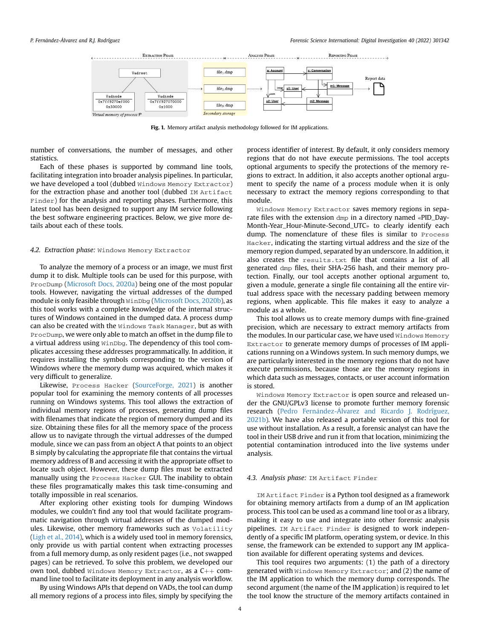<span id="page-3-0"></span>

Fig. 1. Memory artifact analysis methodology followed for IM applications.

number of conversations, the number of messages, and other statistics.

Each of these phases is supported by command line tools, facilitating integration into broader analysis pipelines. In particular, we have developed a tool (dubbed Windows Memory Extractor) for the extraction phase and another tool (dubbed IM Artifact Finder) for the analysis and reporting phases. Furthermore, this latest tool has been designed to support any IM service following the best software engineering practices. Below, we give more details about each of these tools.

# 4.2. Extraction phase: Windows Memory Extractor

To analyze the memory of a process or an image, we must first dump it to disk. Multiple tools can be used for this purpose, with ProcDump [\(Microsoft Docs, 2020a](#page-8-19)) being one of the most popular tools. However, navigating the virtual addresses of the dumped module is only feasible through WinDbg [\(Microsoft Docs, 2020b](#page-8-20)), as this tool works with a complete knowledge of the internal structures of Windows contained in the dumped data. A process dump can also be created with the Windows Task Manager, but as with ProcDump, we were only able to match an offset in the dump file to a virtual address using WinDbg. The dependency of this tool complicates accessing these addresses programmatically. In addition, it requires installing the symbols corresponding to the version of Windows where the memory dump was acquired, which makes it very difficult to generalize.

Likewise, Process Hacker ([SourceForge, 2021\)](#page-8-21) is another popular tool for examining the memory contents of all processes running on Windows systems. This tool allows the extraction of individual memory regions of processes, generating dump files with filenames that indicate the region of memory dumped and its size. Obtaining these files for all the memory space of the process allow us to navigate through the virtual addresses of the dumped module, since we can pass from an object A that points to an object B simply by calculating the appropriate file that contains the virtual memory address of B and accessing it with the appropriate offset to locate such object. However, these dump files must be extracted manually using the Process Hacker GUI. The inability to obtain these files programatically makes this task time-consuming and totally impossible in real scenarios.

After exploring other existing tools for dumping Windows modules, we couldn't find any tool that would facilitate programmatic navigation through virtual addresses of the dumped modules. Likewise, other memory frameworks such as Volatility ([Ligh et al., 2014\)](#page-8-11), which is a widely used tool in memory forensics, only provide us with partial content when extracting processes from a full memory dump, as only resident pages (i.e., not swapped pages) can be retrieved. To solve this problem, we developed our own tool, dubbed Windows Memory Extractor, as a  $C++$  command line tool to facilitate its deployment in any analysis workflow.

By using Windows APIs that depend on VADs, the tool can dump all memory regions of a process into files, simply by specifying the process identifier of interest. By default, it only considers memory regions that do not have execute permissions. The tool accepts optional arguments to specify the protections of the memory regions to extract. In addition, it also accepts another optional argument to specify the name of a process module when it is only necessary to extract the memory regions corresponding to that module.

Windows Memory Extractor saves memory regions in separate files with the extension dmp in a directory named «PID\_Day-Month-Year\_Hour-Minute-Second\_UTC» to clearly identify each dump. The nomenclature of these files is similar to Process Hacker, indicating the starting virtual address and the size of the memory region dumped, separated by an underscore. In addition, it also creates the results.txt file that contains a list of all generated dmp files, their SHA-256 hash, and their memory protection. Finally, our tool accepts another optional argument to, given a module, generate a single file containing all the entire virtual address space with the necessary padding between memory regions, when applicable. This file makes it easy to analyze a module as a whole.

This tool allows us to create memory dumps with fine-grained precision, which are necessary to extract memory artifacts from the modules. In our particular case, we have used Windows Memory Extractor to generate memory dumps of processes of IM applications running on a Windows system. In such memory dumps, we are particularly interested in the memory regions that do not have execute permissions, because those are the memory regions in which data such as messages, contacts, or user account information is stored.

Windows Memory Extractor is open source and released under the GNU/GPLv3 license to promote further memory forensic research ([Pedro Fern](#page-8-22) a[ndez-](#page-8-22)A[lvarez and Ricardo J. Rodríguez,](#page-8-22) [2021b\)](#page-8-22). We have also released a portable version of this tool for use without installation. As a result, a forensic analyst can have the tool in their USB drive and run it from that location, minimizing the potential contamination introduced into the live systems under analysis.

#### 4.3. Analysis phase: IM Artifact Finder

IM Artifact Finder is a Python tool designed as a framework for obtaining memory artifacts from a dump of an IM application process. This tool can be used as a command line tool or as a library, making it easy to use and integrate into other forensic analysis pipelines. IM Artifact Finder is designed to work independently of a specific IM platform, operating system, or device. In this sense, the framework can be extended to support any IM application available for different operating systems and devices.

This tool requires two arguments: (1) the path of a directory generated with Windows Memory Extractor; and (2) the name of the IM application to which the memory dump corresponds. The second argument (the name of the IM application) is required to let the tool know the structure of the memory artifacts contained in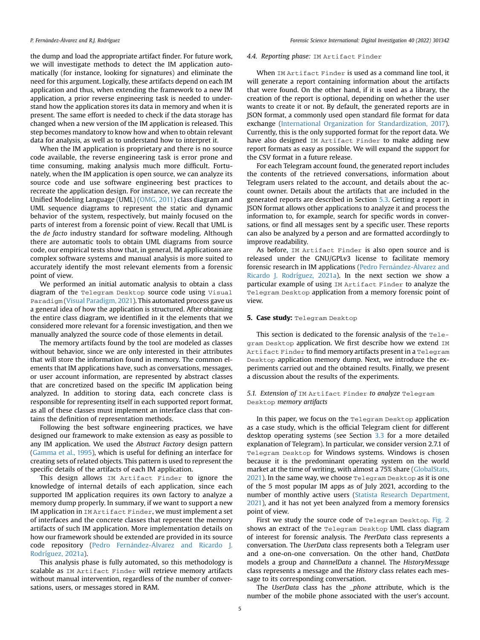#### P. Fernández-Álvarez and R.J. Rodríguez

the dump and load the appropriate artifact finder. For future work, we will investigate methods to detect the IM application automatically (for instance, looking for signatures) and eliminate the need for this argument. Logically, these artifacts depend on each IM application and thus, when extending the framework to a new IM application, a prior reverse engineering task is needed to understand how the application stores its data in memory and when it is present. The same effort is needed to check if the data storage has changed when a new version of the IM application is released. This step becomes mandatory to know how and when to obtain relevant data for analysis, as well as to understand how to interpret it.

When the IM application is proprietary and there is no source code available, the reverse engineering task is error prone and time consuming, making analysis much more difficult. Fortunately, when the IM application is open source, we can analyze its source code and use software engineering best practices to recreate the application design. For instance, we can recreate the Unified Modeling Language (UML) ([OMG, 2011](#page-8-23)) class diagram and UML sequence diagrams to represent the static and dynamic behavior of the system, respectively, but mainly focused on the parts of interest from a forensic point of view. Recall that UML is the de facto industry standard for software modeling. Although there are automatic tools to obtain UML diagrams from source code, our empirical tests show that, in general, IM applications are complex software systems and manual analysis is more suited to accurately identify the most relevant elements from a forensic point of view.

We performed an initial automatic analysis to obtain a class diagram of the Telegram Desktop source code using Visual Paradigm [\(Visual Paradigm, 2021\)](#page-9-3). This automated process gave us a general idea of how the application is structured. After obtaining the entire class diagram, we identified in it the elements that we considered more relevant for a forensic investigation, and then we manually analyzed the source code of those elements in detail.

The memory artifacts found by the tool are modeled as classes without behavior, since we are only interested in their attributes that will store the information found in memory. The common elements that IM applications have, such as conversations, messages, or user account information, are represented by abstract classes that are concretized based on the specific IM application being analyzed. In addition to storing data, each concrete class is responsible for representing itself in each supported report format, as all of these classes must implement an interface class that contains the definition of representation methods.

Following the best software engineering practices, we have designed our framework to make extension as easy as possible to any IM application. We used the Abstract Factory design pattern ([Gamma et al., 1995](#page-8-24)), which is useful for defining an interface for creating sets of related objects. This pattern is used to represent the specific details of the artifacts of each IM application.

This design allows IM Artifact Finder to ignore the knowledge of internal details of each application, since each supported IM application requires its own factory to analyze a memory dump properly. In summary, if we want to support a new IM application in IM Artifact Finder, we must implement a set of interfaces and the concrete classes that represent the memory artifacts of such IM application. More implementation details on how our framework should be extended are provided in its source code repository (Pedro Fernández-Á[lvarez and Ricardo J.](#page-8-25) [Rodríguez, 2021a](#page-8-25)).

This analysis phase is fully automated, so this methodology is scalable as IM Artifact Finder will retrieve memory artifacts without manual intervention, regardless of the number of conversations, users, or messages stored in RAM.

#### 4.4. Reporting phase: IM Artifact Finder

When IM Artifact Finder is used as a command line tool, it will generate a report containing information about the artifacts that were found. On the other hand, if it is used as a library, the creation of the report is optional, depending on whether the user wants to create it or not. By default, the generated reports are in JSON format, a commonly used open standard file format for data exchange ([International Organization for Standardization, 2017\)](#page-8-26). Currently, this is the only supported format for the report data. We have also designed IM Artifact Finder to make adding new report formats as easy as possible. We will expand the support for the CSV format in a future release.

For each Telegram account found, the generated report includes the contents of the retrieved conversations, information about Telegram users related to the account, and details about the account owner. Details about the artifacts that are included in the generated reports are described in Section [5.3](#page-6-0). Getting a report in JSON format allows other applications to analyze it and process the information to, for example, search for specific words in conversations, or find all messages sent by a specific user. These reports can also be analyzed by a person and are formatted accordingly to improve readability.

As before, IM Artifact Finder is also open source and is released under the GNU/GPLv3 license to facilitate memory forensic research in IM applications [\(Pedro Fern](#page-8-25)á[ndez-](#page-8-25)Á[lvarez and](#page-8-25) [Ricardo J. Rodríguez, 2021a\)](#page-8-25). In the next section we show a particular example of using IM Artifact Finder to analyze the Telegram Desktop application from a memory forensic point of view.

#### <span id="page-4-0"></span>5. Case study: Telegram Desktop

This section is dedicated to the forensic analysis of the Telegram Desktop application. We first describe how we extend IM Artifact Finder to find memory artifacts present in a Telegram Desktop application memory dump. Next, we introduce the experiments carried out and the obtained results. Finally, we present a discussion about the results of the experiments.

# 5.1. Extension of IM Artifact Finder to analyze Telegram Desktop memory artifacts

In this paper, we focus on the Telegram Desktop application as a case study, which is the official Telegram client for different desktop operating systems (see Section [3.3](#page-2-1) for a more detailed explanation of Telegram). In particular, we consider version 2.7.1 of Telegram Desktop for Windows systems. Windows is chosen because it is the predominant operating system on the world market at the time of writing, with almost a 75% share ([GlobalStats,](#page-8-3) [2021](#page-8-3)). In the same way, we choose Telegram Desktop as it is one of the 5 most popular IM apps as of July 2021, according to the number of monthly active users ([Statista Research Department,](#page-8-4) [2021](#page-8-4)), and it has not yet been analyzed from a memory forensics point of view.

First we study the source code of Telegram Desktop. [Fig. 2](#page-5-0) shows an extract of the Telegram Desktop UML class diagram of interest for forensic analysis. The PeerData class represents a conversation. The UserData class represents both a Telegram user and a one-on-one conversation. On the other hand, ChatData models a group and ChannelData a channel. The HistoryMessage class represents a message and the History class relates each message to its corresponding conversation.

The UserData class has the \_phone attribute, which is the number of the mobile phone associated with the user's account.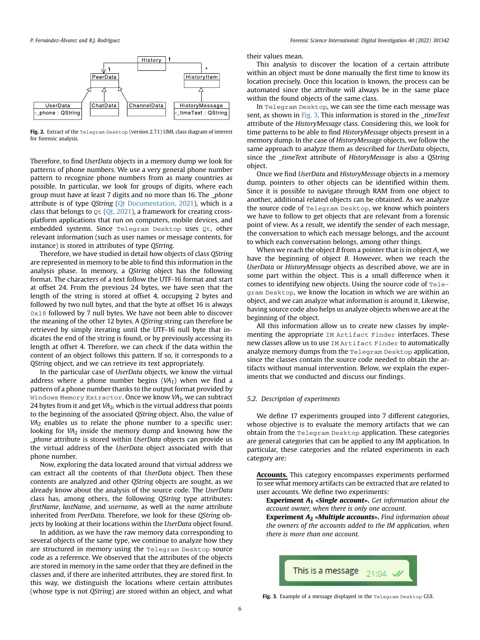<span id="page-5-0"></span>

Fig. 2. Extract of the Telegram Desktop (version 2.7.1) UML class diagram of interest for forensic analysis.

Therefore, to find UserData objects in a memory dump we look for patterns of phone numbers. We use a very general phone number pattern to recognize phone numbers from as many countries as possible. In particular, we look for groups of digits, where each group must have at least 7 digits and no more than 16. The \_phone attribute is of type QString [\(Qt Documentation, 2021\)](#page-8-27), which is a class that belongs to  $\mathcal{Q}$ t ([Qt, 2021](#page-8-28)), a framework for creating crossplatform applications that run on computers, mobile devices, and embedded systems. Since Telegram Desktop uses Qt, other relevant information (such as user names or message contents, for instance) is stored in attributes of type QString.

Therefore, we have studied in detail how objects of class QString are represented in memory to be able to find this information in the analysis phase. In memory, a QString object has the following format. The characters of a text follow the UTF-16 format and start at offset 24. From the previous 24 bytes, we have seen that the length of the string is stored at offset 4, occupying 2 bytes and followed by two null bytes, and that the byte at offset 16 is always 0x18 followed by 7 null bytes. We have not been able to discover the meaning of the other 12 bytes. A QString string can therefore be retrieved by simply iterating until the UTF-16 null byte that indicates the end of the string is found, or by previously accessing its length at offset 4. Therefore, we can check if the data within the content of an object follows this pattern. If so, it corresponds to a QString object, and we can retrieve its text appropriately.

In the particular case of UserData objects, we know the virtual address where a phone number begins  $(VA<sub>1</sub>)$  when we find a pattern of a phone number thanks to the output format provided by Windows Memory Extractor. Once we know  $VA<sub>1</sub>$ , we can subtract 24 bytes from it and get  $VA<sub>2</sub>$ , which is the virtual address that points to the beginning of the associated QString object. Also, the value of VA<sub>2</sub> enables us to relate the phone number to a specific user: looking for VA<sub>2</sub> inside the memory dump and knowing how the \_phone attribute is stored within UserData objects can provide us the virtual address of the UserData object associated with that phone number.

Now, exploring the data located around that virtual address we can extract all the contents of that UserData object. Then these contents are analyzed and other QString objects are sought, as we already know about the analysis of the source code. The UserData class has, among others, the following QString type attributes: firstName, lastName, and username, as well as the name attribute inherited from PeerData. Therefore, we look for these QString objects by looking at their locations within the UserData object found.

In addition, as we have the raw memory data corresponding to several objects of the same type, we continue to analyze how they are structured in memory using the Telegram Desktop source code as a reference. We observed that the attributes of the objects are stored in memory in the same order that they are defined in the classes and, if there are inherited attributes, they are stored first. In this way, we distinguish the locations where certain attributes (whose type is not QString) are stored within an object, and what their values mean.

This analysis to discover the location of a certain attribute within an object must be done manually the first time to know its location precisely. Once this location is known, the process can be automated since the attribute will always be in the same place within the found objects of the same class.

In Telegram Desktop, we can see the time each message was sent, as shown in [Fig. 3](#page-5-1). This information is stored in the *timeText* attribute of the HistoryMessage class. Considering this, we look for time patterns to be able to find HistoryMessage objects present in a memory dump. In the case of HistoryMessage objects, we follow the same approach to analyze them as described for UserData objects, since the *timeText* attribute of HistoryMessage is also a OString object.

Once we find UserData and HistoryMessage objects in a memory dump, pointers to other objects can be identified within them. Since it is possible to navigate through RAM from one object to another, additional related objects can be obtained. As we analyze the source code of Telegram Desktop, we know which pointers we have to follow to get objects that are relevant from a forensic point of view. As a result, we identify the sender of each message, the conversation to which each message belongs, and the account to which each conversation belongs, among other things.

When we reach the object  $B$  from a pointer that is in object  $A$ , we have the beginning of object B. However, when we reach the UserData or HistoryMessage objects as described above, we are in some part within the object. This is a small difference when it comes to identifying new objects. Using the source code of Telegram Desktop, we know the location in which we are within an object, and we can analyze what information is around it. Likewise, having source code also helps us analyze objects when we are at the beginning of the object.

All this information allow us to create new classes by implementing the appropriate IM Artifact Finder interfaces. These new classes allow us to use IM Artifact Finder to automatically analyze memory dumps from the Telegram Desktop application, since the classes contain the source code needed to obtain the artifacts without manual intervention. Below, we explain the experiments that we conducted and discuss our findings.

# 5.2. Description of experiments

We define 17 experiments grouped into 7 different categories, whose objective is to evaluate the memory artifacts that we can obtain from the Telegram Desktop application. These categories are general categories that can be applied to any IM application. In particular, these categories and the related experiments in each category are:

Accounts. This category encompasses experiments performed to see what memory artifacts can be extracted that are related to user accounts. We define two experiments:

**Experiment**  $A_1$  **«Single account».** Get information about the account owner, when there is only one account.

**Experiment**  $A_2$  **«Multiple accounts».** Find information about the owners of the accounts added to the IM application, when there is more than one account.

<span id="page-5-1"></span>

Fig. 3. Example of a message displayed in the Telegram Desktop GUI.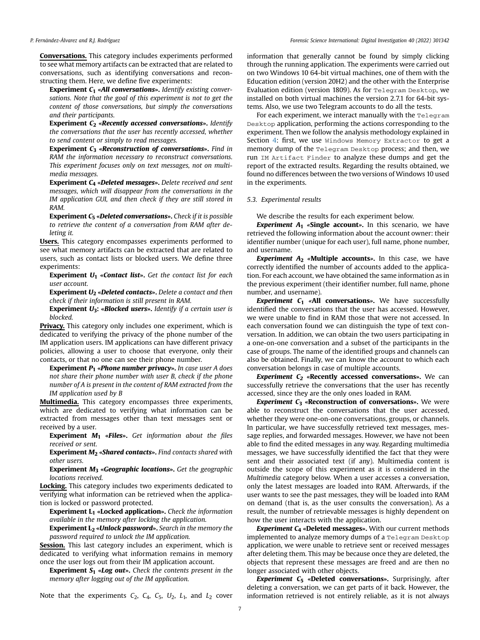P. Fernández-Álvarez and R.J. Rodríguez

Conversations. This category includes experiments performed to see what memory artifacts can be extracted that are related to conversations, such as identifying conversations and reconstructing them. Here, we define five experiments:

Experiment C<sub>1</sub> «All conversations». Identify existing conversations. Note that the goal of this experiment is not to get the content of those conversations, but simply the conversations and their participants.

Experiment  $C_2$  «Recently accessed conversations». Identify the conversations that the user has recently accessed, whether to send content or simply to read messages.

Experiment  $C_3$  «Reconstruction of conversations». Find in RAM the information necessary to reconstruct conversations. This experiment focuses only on text messages, not on multimedia messages.

Experiment C<sup>4</sup> «Deleted messages». Delete received and sent messages, which will disappear from the conversations in the IM application GUI, and then check if they are still stored in RAM.

**Experiment**  $C_5$  **«Deleted conversations».** Check if it is possible to retrieve the content of a conversation from RAM after deleting it.

Users. This category encompasses experiments performed to see what memory artifacts can be extracted that are related to users, such as contact lists or blocked users. We define three experiments:

**Experiment**  $U_1$  **«Contact list».** Get the contact list for each user account.

**Experiment**  $U_2$  **«Deleted contacts».** Delete a contact and then check if their information is still present in RAM.

**Experiment**  $U_3$ **: «Blocked users».** Identify if a certain user is blocked.

Privacy. This category only includes one experiment, which is dedicated to verifying the privacy of the phone number of the IM application users. IM applications can have different privacy policies, allowing a user to choose that everyone, only their contacts, or that no one can see their phone number.

**Experiment**  $P_1$  **«Phone number privacy».** In case user A does not share their phone number with user B, check if the phone number of A is present in the content of RAM extracted from the IM application used by B

Multimedia. This category encompasses three experiments, which are dedicated to verifying what information can be extracted from messages other than text messages sent or received by a user.

**Experiment**  $M_1$  **«Files».** Get information about the files received or sent.

**Experiment M<sub>2</sub> «Shared contacts».** Find contacts shared with other users.

**Experiment M<sub>3</sub> «Geographic locations».** Get the geographic locations received.

Locking. This category includes two experiments dedicated to verifying what information can be retrieved when the application is locked or password protected.

**Experiment L<sub>1</sub>** «Locked application». Check the information available in the memory after locking the application.

**Experiment**  $L_2$  **«Unlock password».** Search in the memory the password required to unlock the IM application.

**Session.** This last category includes an experiment, which is dedicated to verifying what information remains in memory once the user logs out from their IM application account.

**Experiment S<sub>1</sub> «Log out».** Check the contents present in the memory after logging out of the IM application.

Note that the experiments  $C_2$ ,  $C_4$ ,  $C_5$ ,  $U_2$ ,  $L_1$ , and  $L_2$  cover

information that generally cannot be found by simply clicking through the running application. The experiments were carried out on two Windows 10 64-bit virtual machines, one of them with the Education edition (version 20H2) and the other with the Enterprise Evaluation edition (version 1809). As for Telegram Desktop, we installed on both virtual machines the version 2.7.1 for 64-bit systems. Also, we use two Telegram accounts to do all the tests.

For each experiment, we interact manually with the Telegram Desktop application, performing the actions corresponding to the experiment. Then we follow the analysis methodology explained in Section [4](#page-2-0): first, we use Windows Memory Extractor to get a memory dump of the Telegram Desktop process; and then, we run IM Artifact Finder to analyze these dumps and get the report of the extracted results. Regarding the results obtained, we found no differences between the two versions of Windows 10 used in the experiments.

#### <span id="page-6-0"></span>5.3. Experimental results

We describe the results for each experiment below.

**Experiment A<sub>1</sub>** «Single account». In this scenario, we have retrieved the following information about the account owner: their identifier number (unique for each user), full name, phone number, and username.

Experiment  $A_2$  «Multiple accounts». In this case, we have correctly identified the number of accounts added to the application. For each account, we have obtained the same information as in the previous experiment (their identifier number, full name, phone number, and username).

**Experiment C<sub>1</sub>** «All conversations». We have successfully identified the conversations that the user has accessed. However, we were unable to find in RAM those that were not accessed. In each conversation found we can distinguish the type of text conversation. In addition, we can obtain the two users participating in a one-on-one conversation and a subset of the participants in the case of groups. The name of the identified groups and channels can also be obtained. Finally, we can know the account to which each conversation belongs in case of multiple accounts.

**Experiment C<sub>2</sub>** «Recently accessed conversations». We can successfully retrieve the conversations that the user has recently accessed, since they are the only ones loaded in RAM.

**Experiment C<sub>3</sub>** «Reconstruction of conversations». We were able to reconstruct the conversations that the user accessed, whether they were one-on-one conversations, groups, or channels. In particular, we have successfully retrieved text messages, message replies, and forwarded messages. However, we have not been able to find the edited messages in any way. Regarding multimedia messages, we have successfully identified the fact that they were sent and their associated text (if any). Multimedia content is outside the scope of this experiment as it is considered in the Multimedia category below. When a user accesses a conversation, only the latest messages are loaded into RAM. Afterwards, if the user wants to see the past messages, they will be loaded into RAM on demand (that is, as the user consults the conversation). As a result, the number of retrievable messages is highly dependent on how the user interacts with the application.

**Experiment**  $C_4$  **«Deleted messages».** With our current methods implemented to analyze memory dumps of a Telegram Desktop application, we were unable to retrieve sent or received messages after deleting them. This may be because once they are deleted, the objects that represent these messages are freed and are then no longer associated with other objects.

**Experiment**  $C_5$  **«Deleted conversations».** Surprisingly, after deleting a conversation, we can get parts of it back. However, the information retrieved is not entirely reliable, as it is not always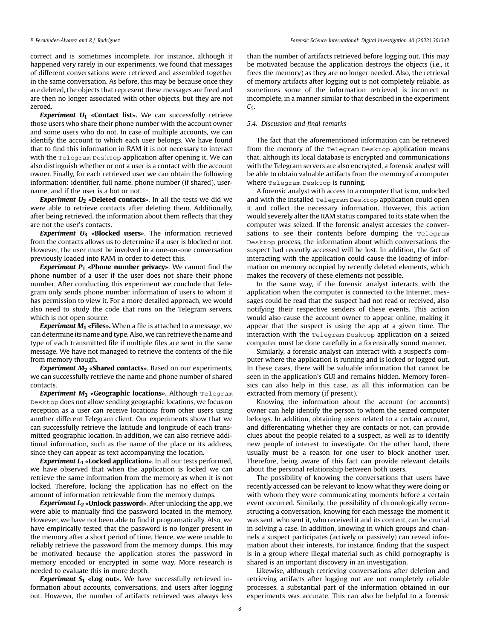#### P. Fernández-Álvarez and R.I. Rodríguez

correct and is sometimes incomplete. For instance, although it happened very rarely in our experiments, we found that messages of different conversations were retrieved and assembled together in the same conversation. As before, this may be because once they are deleted, the objects that represent these messages are freed and are then no longer associated with other objects, but they are not zeroed.

**Experiment**  $U_1$  **«Contact list».** We can successfully retrieve those users who share their phone number with the account owner and some users who do not. In case of multiple accounts, we can identify the account to which each user belongs. We have found that to find this information in RAM it is not necessary to interact with the Telegram Desktop application after opening it. We can also distinguish whether or not a user is a contact with the account owner. Finally, for each retrieved user we can obtain the following information: identifier, full name, phone number (if shared), username, and if the user is a bot or not.

**Experiment**  $U_2$  **«Deleted contacts»**. In all the tests we did we were able to retrieve contacts after deleting them. Additionally, after being retrieved, the information about them reflects that they are not the user's contacts.

Experiment  $U_3$  «Blocked users». The information retrieved from the contacts allows us to determine if a user is blocked or not. However, the user must be involved in a one-on-one conversation previously loaded into RAM in order to detect this.

**Experiment**  $P_1$  **«Phone number privacy»**. We cannot find the phone number of a user if the user does not share their phone number. After conducting this experiment we conclude that Telegram only sends phone number information of users to whom it has permission to view it. For a more detailed approach, we would also need to study the code that runs on the Telegram servers, which is not open source.

**Experiment M<sub>1</sub>** «**Files**». When a file is attached to a message, we can determine its name and type. Also, we can retrieve the name and type of each transmitted file if multiple files are sent in the same message. We have not managed to retrieve the contents of the file from memory though.

**Experiment**  $M_2$  **«Shared contacts».** Based on our experiments, we can successfully retrieve the name and phone number of shared contacts.

Experiment  $M_3$  «Geographic locations». Although Telegram Desktop does not allow sending geographic locations, we focus on reception as a user can receive locations from other users using another different Telegram client. Our experiments show that we can successfully retrieve the latitude and longitude of each transmitted geographic location. In addition, we can also retrieve additional information, such as the name of the place or its address, since they can appear as text accompanying the location.

**Experiment**  $L_1$  **«Locked application»**. In all our tests performed, we have observed that when the application is locked we can retrieve the same information from the memory as when it is not locked. Therefore, locking the application has no effect on the amount of information retrievable from the memory dumps.

**Experiment**  $L_2$  **«Unlock password».** After unlocking the app, we were able to manually find the password located in the memory. However, we have not been able to find it programatically. Also, we have empirically tested that the password is no longer present in the memory after a short period of time. Hence, we were unable to reliably retrieve the password from the memory dumps. This may be motivated because the application stores the password in memory encoded or encrypted in some way. More research is needed to evaluate this in more depth.

**Experiment S<sub>1</sub> «Log out».** We have successfully retrieved information about accounts, conversations, and users after logging out. However, the number of artifacts retrieved was always less than the number of artifacts retrieved before logging out. This may be motivated because the application destroys the objects (i.e., it frees the memory) as they are no longer needed. Also, the retrieval of memory artifacts after logging out is not completely reliable, as sometimes some of the information retrieved is incorrect or incomplete, in a manner similar to that described in the experiment  $C<sub>5</sub>$ .

#### 5.4. Discussion and final remarks

The fact that the aforementioned information can be retrieved from the memory of the Telegram Desktop application means that, although its local database is encrypted and communications with the Telegram servers are also encrypted, a forensic analyst will be able to obtain valuable artifacts from the memory of a computer where Telegram Desktop is running.

A forensic analyst with access to a computer that is on, unlocked and with the installed Telegram Desktop application could open it and collect the necessary information. However, this action would severely alter the RAM status compared to its state when the computer was seized. If the forensic analyst accesses the conversations to see their contents before dumping the Telegram Desktop process, the information about which conversations the suspect had recently accessed will be lost. In addition, the fact of interacting with the application could cause the loading of information on memory occupied by recently deleted elements, which makes the recovery of these elements not possible.

In the same way, if the forensic analyst interacts with the application when the computer is connected to the Internet, messages could be read that the suspect had not read or received, also notifying their respective senders of these events. This action would also cause the account owner to appear online, making it appear that the suspect is using the app at a given time. The interaction with the Telegram Desktop application on a seized computer must be done carefully in a forensically sound manner.

Similarly, a forensic analyst can interact with a suspect's computer where the application is running and is locked or logged out. In these cases, there will be valuable information that cannot be seen in the application's GUI and remains hidden. Memory forensics can also help in this case, as all this information can be extracted from memory (if present).

Knowing the information about the account (or accounts) owner can help identify the person to whom the seized computer belongs. In addition, obtaining users related to a certain account, and differentiating whether they are contacts or not, can provide clues about the people related to a suspect, as well as to identify new people of interest to investigate. On the other hand, there usually must be a reason for one user to block another user. Therefore, being aware of this fact can provide relevant details about the personal relationship between both users.

The possibility of knowing the conversations that users have recently accessed can be relevant to know what they were doing or with whom they were communicating moments before a certain event occurred. Similarly, the possibility of chronologically reconstructing a conversation, knowing for each message the moment it was sent, who sent it, who received it and its content, can be crucial in solving a case. In addition, knowing in which groups and channels a suspect participates (actively or passively) can reveal information about their interests. For instance, finding that the suspect is in a group where illegal material such as child pornography is shared is an important discovery in an investigation.

Likewise, although retrieving conversations after deletion and retrieving artifacts after logging out are not completely reliable processes, a substantial part of the information obtained in our experiments was accurate. This can also be helpful to a forensic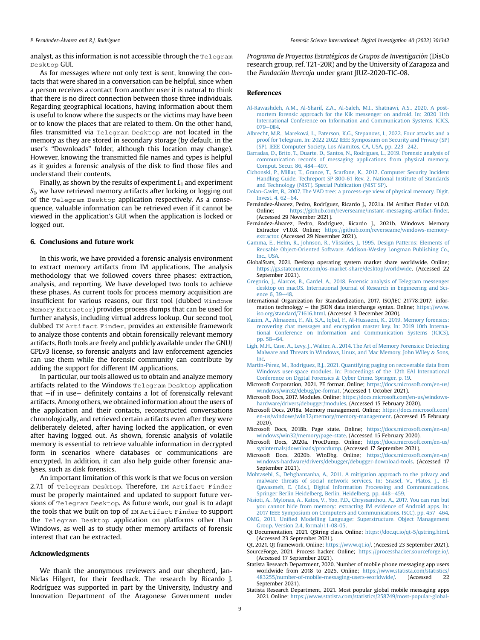#### P. Fernández-Álvarez and R.I. Rodríguez

analyst, as this information is not accessible through the  $T^{e}$  elegram Desktop GUI.

As for messages where not only text is sent, knowing the contacts that were shared in a conversation can be helpful, since when a person receives a contact from another user it is natural to think that there is no direct connection between those three individuals. Regarding geographical locations, having information about them is useful to know where the suspects or the victims may have been or to know the places that are related to them. On the other hand, files transmitted via Telegram Desktop are not located in the memory as they are stored in secondary storage (by default, in the user's "Downloads" folder, although this location may change). However, knowing the transmitted file names and types is helpful as it guides a forensic analysis of the disk to find those files and understand their contents.

Finally, as shown by the results of experiment  $L_1$  and experiment  $S<sub>1</sub>$ , we have retrieved memory artifacts after locking or logging out of the Telegram Desktop application respectively. As a consequence, valuable information can be retrieved even if it cannot be viewed in the application's GUI when the application is locked or logged out.

# <span id="page-8-5"></span>6. Conclusions and future work

In this work, we have provided a forensic analysis environment to extract memory artifacts from IM applications. The analysis methodology that we followed covers three phases: extraction, analysis, and reporting. We have developed two tools to achieve these phases. As current tools for process memory acquisition are insufficient for various reasons, our first tool (dubbed Windows Memory Extractor) provides process dumps that can be used for further analysis, including virtual address lookup. Our second tool, dubbed IM Artifact Finder, provides an extensible framework to analyze those contents and obtain forensically relevant memory artifacts. Both tools are freely and publicly available under the GNU/ GPLv3 license, so forensic analysts and law enforcement agencies can use them while the forensic community can contribute by adding the support for different IM applications.

In particular, our tools allowed us to obtain and analyze memory artifacts related to the Windows Telegram Desktop application that  $-$ if in use $-$  definitely contains a lot of forensically relevant artifacts. Among others, we obtained information about the users of the application and their contacts, reconstructed conversations chronologically, and retrieved certain artifacts even after they were deliberately deleted, after having locked the application, or even after having logged out. As shown, forensic analysis of volatile memory is essential to retrieve valuable information in decrypted form in scenarios where databases or communications are encrypted. In addition, it can also help guide other forensic analyses, such as disk forensics.

An important limitation of this work is that we focus on version 2.7.1 of Telegram Desktop. Therefore, IM Artifact Finder must be properly maintained and updated to support future versions of Telegram Desktop. As future work, our goal is to adapt the tools that we built on top of IM Artifact Finder to support the Telegram Desktop application on platforms other than Windows, as well as to study other memory artifacts of forensic interest that can be extracted.

#### Acknowledgments

We thank the anonymous reviewers and our shepherd, Jan-Niclas Hilgert, for their feedback. The research by Ricardo J. Rodríguez was supported in part by the University, Industry and Innovation Department of the Aragonese Government under

Programa de Proyectos Estratégicos de Grupos de Investigación (DisCo research group, ref. T21-20R) and by the University of Zaragoza and the Fundación Ibercaja under grant JIUZ-2020-TIC-08.

#### References

- <span id="page-8-10"></span>[Al-Rawashdeh, A.M., Al-Sharif, Z.A., Al-Saleh, M.I., Shatnawi, A.S., 2020. A post](http://refhub.elsevier.com/S2666-2817(22)00011-7/sref1)[mortem forensic approach for the Kik messenger on android. In: 2020 11th](http://refhub.elsevier.com/S2666-2817(22)00011-7/sref1) [International Conference on Information and Communication Systems. ICICS,](http://refhub.elsevier.com/S2666-2817(22)00011-7/sref1) [079](http://refhub.elsevier.com/S2666-2817(22)00011-7/sref1)-[084](http://refhub.elsevier.com/S2666-2817(22)00011-7/sref1).
- <span id="page-8-18"></span>Albrecht, M.R., Mareková, L., Paterson, K.G., Stepanovs, I., 2022. Four attacks and a [proof for Telegram. In: 2022 2022 IEEE Symposium on Security and Privacy \(SP\)](http://refhub.elsevier.com/S2666-2817(22)00011-7/sref2) [\(SP\). IEEE Computer Society, Los Alamitos, CA, USA, pp. 223](http://refhub.elsevier.com/S2666-2817(22)00011-7/sref2)-[242](http://refhub.elsevier.com/S2666-2817(22)00011-7/sref2).
- <span id="page-8-8"></span>[Barradas, D., Brito, T., Duarte, D., Santos, N., Rodrigues, L., 2019. Forensic analysis of](http://refhub.elsevier.com/S2666-2817(22)00011-7/sref4) [communication records of messaging applications from physical memory.](http://refhub.elsevier.com/S2666-2817(22)00011-7/sref4) [Comput. Secur. 86, 484](http://refhub.elsevier.com/S2666-2817(22)00011-7/sref4)-[497.](http://refhub.elsevier.com/S2666-2817(22)00011-7/sref4)
- <span id="page-8-2"></span>[Cichonski, P., Millar, T., Grance, T., Scarfone, K., 2012. Computer Security Incident](http://refhub.elsevier.com/S2666-2817(22)00011-7/sref5) [Handling Guide. Techreport SP 800-61 Rev. 2. National Institute of Standards](http://refhub.elsevier.com/S2666-2817(22)00011-7/sref5) [and Technology \(NIST\). Special Publication \(NIST SP\).](http://refhub.elsevier.com/S2666-2817(22)00011-7/sref5)
- <span id="page-8-14"></span>[Dolan-Gavitt, B., 2007. The VAD tree: a process-eye view of physical memory. Digit.](http://refhub.elsevier.com/S2666-2817(22)00011-7/sref7) Invest.  $4.62 - 64$  $4.62 - 64$
- <span id="page-8-25"></span>Fernández-Álvarez, Pedro, Rodríguez, Ricardo J., 2021a. IM Artifact Finder v1.0.0. Online; [https://github.com/reverseame/instant-messaging-artifact-](https://github.com/reverseame/instant-messaging-artifact-finder)finder. (Accessed 29 November 2021).
- <span id="page-8-22"></span>Fernández-Álvarez, Pedro, Rodríguez, Ricardo J., 2021b. Windows Memory Extractor v1.0.8. Online; [https://github.com/reverseame/windows-memory](https://github.com/reverseame/windows-memory-extractor)[extractor.](https://github.com/reverseame/windows-memory-extractor) (Accessed 29 November 2021).
- <span id="page-8-24"></span>[Gamma, E., Helm, R., Johnson, R., Vlissides, J., 1995. Design Patterns: Elements of](http://refhub.elsevier.com/S2666-2817(22)00011-7/sref10) [Reusable Object-Oriented Software. Addison-Wesley Longman Publishing Co.,](http://refhub.elsevier.com/S2666-2817(22)00011-7/sref10) [Inc., USA](http://refhub.elsevier.com/S2666-2817(22)00011-7/sref10).
- <span id="page-8-3"></span>GlobalStats, 2021. Desktop operating system market share worldwide. Online; <https://gs.statcounter.com/os-market-share/desktop/worldwide>. (Accessed 22 September 2021).
- <span id="page-8-7"></span>[Gregorio, J., Alarcos, B., Gardel, A., 2018. Forensic analysis of Telegram messenger](http://refhub.elsevier.com/S2666-2817(22)00011-7/sref12) [desktop on macOS. International Journal of Research in Engineering and Sci](http://refhub.elsevier.com/S2666-2817(22)00011-7/sref12)ence  $6.39 - 48.$  $6.39 - 48.$
- <span id="page-8-26"></span>International Organization for Standardization, 2017. ISO/IEC 21778:2017: information technology  $-$  the JSON data interchange syntax. Online; [https://www.](https://www.iso.org/standard/71616.html) [iso.org/standard/71616.html](https://www.iso.org/standard/71616.html). (Accessed 3 December 2020).
- <span id="page-8-9"></span>[Kazim, A., Almaeeni, F., Ali, S.A., Iqbal, F., Al-Hussaeni, K., 2019. Memory forensics:](http://refhub.elsevier.com/S2666-2817(22)00011-7/sref14) [recovering chat messages and encryption master key. In: 2019 10th Interna](http://refhub.elsevier.com/S2666-2817(22)00011-7/sref14)[tional Conference on Information and Communication Systems \(ICICS\),](http://refhub.elsevier.com/S2666-2817(22)00011-7/sref14) [pp. 58](http://refhub.elsevier.com/S2666-2817(22)00011-7/sref14)-[64](http://refhub.elsevier.com/S2666-2817(22)00011-7/sref14).
- <span id="page-8-11"></span>[Ligh, M.H., Case, A., Levy, J., Walter, A., 2014. The Art of Memory Forensics: Detecting](http://refhub.elsevier.com/S2666-2817(22)00011-7/sref15) [Malware and Threats in Windows, Linux, and Mac Memory. John Wiley](http://refhub.elsevier.com/S2666-2817(22)00011-7/sref15) & [Sons,](http://refhub.elsevier.com/S2666-2817(22)00011-7/sref15) [Inc.](http://refhub.elsevier.com/S2666-2817(22)00011-7/sref15)
- <span id="page-8-15"></span>[Martín-Perez, M., Rodríguez, R.J., 2021. Quantifying paging on recoverable data from](http://refhub.elsevier.com/S2666-2817(22)00011-7/sref16) [Windows user-space modules. In: Proceedings of the 12th EAI International](http://refhub.elsevier.com/S2666-2817(22)00011-7/sref16) [Conference on Digital Forensics](http://refhub.elsevier.com/S2666-2817(22)00011-7/sref16) & [Cyber Crime. Springer, p. 19](http://refhub.elsevier.com/S2666-2817(22)00011-7/sref16).
- <span id="page-8-17"></span>Microsoft Corporation, 2021. PE format. Online; [https://docs.microsoft.com/en-us/](https://docs.microsoft.com/en-us/windows/win32/debug/pe-format) [windows/win32/debug/pe-format.](https://docs.microsoft.com/en-us/windows/win32/debug/pe-format) (Accessed 1 October 2021).
- <span id="page-8-16"></span>Microsoft Docs, 2017. Modules. Online; [https://docs.microsoft.com/en-us/windows](https://docs.microsoft.com/en-us/windows-hardware/drivers/debugger/modules)[hardware/drivers/debugger/modules.](https://docs.microsoft.com/en-us/windows-hardware/drivers/debugger/modules) (Accessed 15 February 2020).
- <span id="page-8-13"></span>Microsoft Docs, 2018a. Memory management. Online; [https://docs.microsoft.com/](https://docs.microsoft.com/en-us/windows/win32/memory/memory-management) [en-us/windows/win32/memory/memory-management](https://docs.microsoft.com/en-us/windows/win32/memory/memory-management). (Accessed 15 February 2020).
- <span id="page-8-12"></span>Microsoft Docs, 2018b. Page state. Online; [https://docs.microsoft.com/en-us/](https://docs.microsoft.com/en-us/windows/win32/memory/page-state) [windows/win32/memory/page-state](https://docs.microsoft.com/en-us/windows/win32/memory/page-state). (Accessed 15 February 2020).
- <span id="page-8-19"></span>Microsoft Docs, 2020a. ProcDump. Online; [https://docs.microsoft.com/en-us/](https://docs.microsoft.com/en-us/sysinternals/downloads/procdump) [sysinternals/downloads/procdump](https://docs.microsoft.com/en-us/sysinternals/downloads/procdump). (Accessed 17 September 2021). Microsoft Docs, 2020b. WinDbg. Online; [https://docs.microsoft.com/en-us/](https://docs.microsoft.com/en-us/windows-hardware/drivers/debugger/debugger-download-tools)
- <span id="page-8-20"></span>[windows-hardware/drivers/debugger/debugger-download-tools](https://docs.microsoft.com/en-us/windows-hardware/drivers/debugger/debugger-download-tools). (Accessed 17 September 2021).
- <span id="page-8-1"></span>[Mohtasebi, S., Dehghantanha, A., 2011. A mitigation approach to the privacy and](http://refhub.elsevier.com/S2666-2817(22)00011-7/sref23) [malware threats of social network services. In: Snasel, V., Platos, J., El-](http://refhub.elsevier.com/S2666-2817(22)00011-7/sref23)[Qawasmeh, E. \(Eds.\), Digital Information Processing and Communications.](http://refhub.elsevier.com/S2666-2817(22)00011-7/sref23) [Springer Berlin Heidelberg, Berlin, Heidelberg, pp. 448](http://refhub.elsevier.com/S2666-2817(22)00011-7/sref23)-[459](http://refhub.elsevier.com/S2666-2817(22)00011-7/sref23).
- <span id="page-8-6"></span>[Nisioti, A., Mylonas, A., Katos, V., Yoo, P.D., Chryssanthou, A., 2017. You can run but](http://refhub.elsevier.com/S2666-2817(22)00011-7/sref24) [you cannot hide from memory: extracting IM evidence of Android apps. In:](http://refhub.elsevier.com/S2666-2817(22)00011-7/sref24) [2017 IEEE Symposium on Computers and Communications. ISCC\), pp. 457](http://refhub.elsevier.com/S2666-2817(22)00011-7/sref24)-[464](http://refhub.elsevier.com/S2666-2817(22)00011-7/sref24).
- <span id="page-8-23"></span>OMG, 2011. Unifi[ed Modelling Language: Superstructure. Object Management](http://refhub.elsevier.com/S2666-2817(22)00011-7/sref3) [Group. Version 2.4, formal/11-08-05.](http://refhub.elsevier.com/S2666-2817(22)00011-7/sref3)
- <span id="page-8-27"></span>Qt Documentation, 2021. QString class. Online; <https://doc.qt.io/qt-5/qstring.html>. (Accessed 23 September 2021).
- <span id="page-8-28"></span><span id="page-8-21"></span>Qt, 2021. Qt framework. Online; [https://www.qt.io/.](https://www.qt.io/) (Accessed 23 September 2021). SourceForge, 2021. Process hacker. Online; <https://processhacker.sourceforge.io/>. (Accessed 17 September 2021).
- <span id="page-8-0"></span>Statista Research Department, 2020. Number of mobile phone messaging app users worldwide from 2018 to 2025. Online; [https://www.statista.com/statistics/](https://www.statista.com/statistics/483255/number-of-mobile-messaging-users-worldwide/) [483255/number-of-mobile-messaging-users-worldwide/](https://www.statista.com/statistics/483255/number-of-mobile-messaging-users-worldwide/). (Accessed 22 September 2021).
- <span id="page-8-4"></span>Statista Research Department, 2021. Most popular global mobile messaging apps 2021. Online; [https://www.statista.com/statistics/258749/most-popular-global-](https://www.statista.com/statistics/258749/most-popular-global-mobile-messenger-apps/)